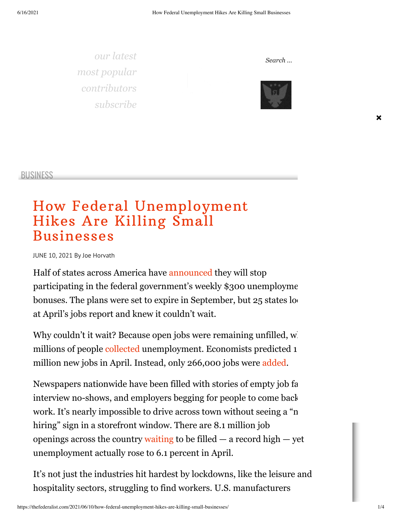*[our latest](https://thefederalist.com/blog) [most popular](https://thefederalist.com/most-popular) [contributors](https://thefederalist.com/contributors) [subscribe](https://newsletters.thefederalist.com/)*



*Search ...*



**×**

[BUSINESS](https://thefederalist.com/category/economics/business/)

## How Federal [Unemployment](https://thefederalist.com/2021/06/10/how-federal-unemployment-hikes-are-killing-small-businesses/) Hikes Are Killing Small Businesses

JUNE 10, 2021 By Joe [Horvath](https://thefederalist.com/author/joehorvath/)

Half of states across America have [announced](https://thefga.org/unemployment-opt-out/) they will stop participating in the federal government's weekly \$300 unemployment bonuses. The plans were set to expire in September, but  $25$  states lo[oked](https://www.googleadservices.com/pagead/aclk?sa=L&ai=C5sZ52CvKYLfYPP_to9kP3ImMyAnaicTMYrKO5Pz6C9flor3AARABII_bthhgyZbaiPyjyBCgAa2OsMIDyAEJ4AIAqAMByAObBKoExgJP0O2scetgO7MM86bbesMYfojGXmMzjXAPE1mYOQwI3GHtgqKBHhZEvwbf2qCLYrwUEo-LNT_7vXh_iXr3niMKgC05uxAefpQps9GPMZIG6AjFsfC-7jc5ZcJn93gQHo8JkSkViQFGWPZVg4H766IO5loqcH541tMW2Dxl2tBYs1ststCyDQ5B6qmdBHrj5j1dkFTi_McXDfIqC2Rw-CouME0JQv9J-RYXsJRSbdEwuZQuwvK8EcBwoemEjRlw3P0-zOZNslyxbKc739paZqBPIKhyl4d5PTYbKFJquynNQH0xVcHj79u8TOBMWB6CxqLSJ_lUOhamAxthSe6_KZ3JJmUwydYqgZnFx6JJIYFOWatgPTIPbcYCYLgUIpoMOI2jFkNc6KiFKr8Ct4VkaqVpu4a8oqYB0AKmvgG8zGCroov6DtZ6FcAEo4S-zZ4D4AQB-gUGCCUQARgBkAYBoAYugAfp8M9miAcBkAcCqAeKnLECqAfw2RuoB_LZG6gHjs4bqAeT2BuoB7oGqAfulrECqAemvhuoB-zVG6gH89EbqAfs1RuoB5bYG9gHAMAIAtIIBggAEAIYDfIIG2FkeC1zdWJzeW4tNjM2NjAyMzc2NDY0MTAwNoAKA5ALA5gLAcgLAYAMAbgMAdgTDIgUA9AVAYAXAQ&ae=1&num=1&cid=CAMSeQClSFh3KjBvqon4ULIUOuWAlsJ8K72U6CGgRWcOTgsx9W9N9CQwy3EVtO6hN3Wjzh8qp7djHhIZ7kcJzTdhympZB3fPXd1KAlde2QoCij8fIFbDabnyfsP0O8nTSp1Mj4A4GFzGNGJBAbZdLcavD4yzhVGaD-jMfSA&sig=AOD64_0wwu7zJBS-21_Z9yYCV4pDzY_95A&client=ca-pub-8006908682726742&nb=9&adurl=https://www.zulily.com/p/you-and-i-are-sisters-personalized-mug-485730-73590219.html%3Ftid%3D33648468_thefederalist.com_473737811202_c%26gclid%3DCjwKCAjwwqaGBhBKEiwAMk-FtDw1D-NiRO-Qus0DVlQzoUwXTo-TFkYEvWi0dk7OiMQe1g92SMcDhRoCFW4QAvD_BwE) at April's jobs report and knew it couldn't wait.

Why couldn't it wait? Because open jobs were remaining unfilled, when millions of people [collected](https://www.dol.gov/ui/data.pdf) unemployment. Economists predicted 1 million new jobs in April. Instead, only 266,000 jobs were [added](https://www.forbes.com/sites/jackkelly/2021/05/07/anticipation-of-1-million-new-jobs-were-dashed-as-only-26600-jobs-were-added-in-april/).

Newspapers nationwide have been filled with stories of empty job fairs, interview no-shows, and employers begging for people to come back work. It's nearly impossible to drive across town without seeing a "[now](https://www.googleadservices.com/pagead/aclk?sa=L&ai=C4-Qy2CvKYLfYPP_to9kP3ImMyAnaicTMYrKO5Pz6C9flor3AARABII_bthhgyZbaiPyjyBCgAa2OsMIDyAEJ4AIAqAMByAObBKoExgJP0O2scetgO7MM86bbesMYfojGXmMzjXAPE1mYOQwI3GHtgqKBHhZEvwbf2qCLYrwUEo-LNT_7vXh_iXr3niMKgC05uxAefpQps9GPMZIG6AjFsfC-7jc5ZcJn93gQHo8JkSkViQFGWPZVg4H766IO5loqcH541tMW2Dxl2tBYs1ststCyDQ5B6qmdBHrj5j1dkFTi_McXDfIqC2Rw-CouME0JQv9J-RYXsJRSbdEwuZQuwvK8EcBwoemEjRlw3P0-zOZNslyxbKc739paZqBPIKhyl4d5PTYbKFJquynNQH0xVcHj79u8TOBMWB6CxqLSJ_lUOhamAxthSe6_KZ3JJmUwydYqgZnFx6JJIYFOWatgPTIPbcYCYLgUIpoMOI2jFkNc6KiFKr8Ct4VkaqVpu4a8oqYB0AKmvgG8zGCroov6DtZ6FcAEo4S-zZ4D4AQB-gUGCCUQARgAkAYBoAYugAfp8M9miAcBkAcCqAeKnLECqAfw2RuoB_LZG6gHjs4bqAeT2BuoB7oGqAfulrECqAemvhuoB-zVG6gH89EbqAfs1RuoB5bYG9gHAMAIAdIIBggAEAIYDfIIG2FkeC1zdWJzeW4tNjM2NjAyMzc2NDY0MTAwNoAKA5ALA5gLAcgLAYAMAbgMAdgTDIgUA9AVAYAXAQ&ae=1&num=1&cid=CAMSeQClSFh3_4qlhQ_M5WenBWVGNOBYdlrgqzc91gWBHC0iCRke8vjhcNmOeG1nWiPlU7xwZvUREM8vdWCeJCAqyerEVXQ9uxZMcKSXJiNpQqqeu4NmX4ABNHGXOGSIyryKhyFwRrvM1UJjxQwueim5NSK-cRuzHz_p__0&sig=AOD64_1Q3t17CN5KGrsPNAIVsGPcK2CKZA&client=ca-pub-8006908682726742&nb=19&adurl=https://www.zulily.com/p/heather-gray-i-love-it-when-my-wife-lets-me-go-golfing-tee-479254-82779758.html%3Ftid%3D33648468_thefederalist.com_473737811202_c%26gclid%3DCjwKCAjwwqaGBhBKEiwAMk-FtKCX7lrnNzSc6vimVZFimzUCjbUFI6Kd2ipMXpgTvPtb3Q6EbrRDeRoCx3EQAvD_BwE) hiring" sign in a storefront window. There are 8.1 million job openings across the country [waiting](https://thefga.org/wp-content/uploads/2021/05/Unemployment-Benefits-Are-Paying-Better-Than-Work.pdf) to be filled  $-$  a record high  $-$  yet unemployment actually rose to 6.1 percent in April.

It's not just the industries hit hardest by lockdowns, like the leisure and hospitality sectors, struggling to find workers. U.S. manufacturers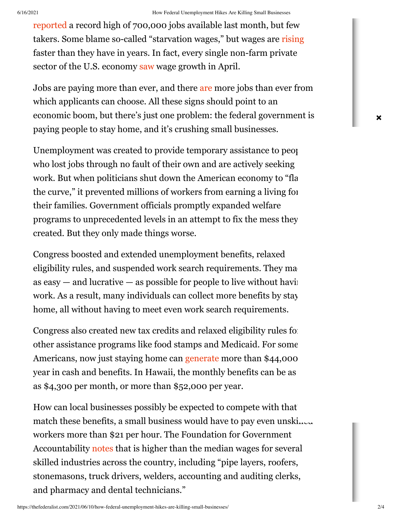[reported](https://www.youtube.com/watch?v=j3s1mxoNDjI) a record high of 700,000 jobs available last month, but few takers. Some blame so-called "starvation wages," but wages are [rising](https://www.cnbc.com/2021/05/22/wages-rise-at-the-fastest-pace-in-years-firms-profits-could-take-a-hit.html) faster than they have in years. In fact, every single non-farm private sector of the U.S. economy [saw](https://www.bls.gov/news.release/archives/empsit_05072021.pdf) wage growth in April.

Jobs [are](https://www.marketwatch.com/story/u-s-job-openings-soar-to-record-8-2-million-but-businesses-say-they-cant-find-enough-workers-to-hire-11620742194#:~:text=Job%20openings%20in%20the%20U.S.,million%20set%20in%20November%202018.) paying more than ever, and there are more jobs than ever from which applicants can choose. All these signs should point to an economic boom, but there's just one problem: the federal government is paying people to stay home, and it's crushing small businesses.

Unemployment was created to provide temporary assistance to people who lost jobs through no fault of their own and are actively seeking work. But when politicians shut down the American economy to "fla[tten](https://www.googleadservices.com/pagead/aclk?sa=L&ai=C4-Qy2CvKYLfYPP_to9kP3ImMyAnaicTMYrKO5Pz6C9flor3AARABII_bthhgyZbaiPyjyBCgAa2OsMIDyAEJ4AIAqAMByAObBKoExgJP0O2scetgO7MM86bbesMYfojGXmMzjXAPE1mYOQwI3GHtgqKBHhZEvwbf2qCLYrwUEo-LNT_7vXh_iXr3niMKgC05uxAefpQps9GPMZIG6AjFsfC-7jc5ZcJn93gQHo8JkSkViQFGWPZVg4H766IO5loqcH541tMW2Dxl2tBYs1ststCyDQ5B6qmdBHrj5j1dkFTi_McXDfIqC2Rw-CouME0JQv9J-RYXsJRSbdEwuZQuwvK8EcBwoemEjRlw3P0-zOZNslyxbKc739paZqBPIKhyl4d5PTYbKFJquynNQH0xVcHj79u8TOBMWB6CxqLSJ_lUOhamAxthSe6_KZ3JJmUwydYqgZnFx6JJIYFOWatgPTIPbcYCYLgUIpoMOI2jFkNc6KiFKr8Ct4VkaqVpu4a8oqYB0AKmvgG8zGCroov6DtZ6FcAEo4S-zZ4D4AQB-gUGCCUQARgAkAYBoAYugAfp8M9miAcBkAcCqAeKnLECqAfw2RuoB_LZG6gHjs4bqAeT2BuoB7oGqAfulrECqAemvhuoB-zVG6gH89EbqAfs1RuoB5bYG9gHAMAIAdIIBggAEAIYDfIIG2FkeC1zdWJzeW4tNjM2NjAyMzc2NDY0MTAwNoAKA5ALA5gLAcgLAYAMAbgMAdgTDIgUA9AVAYAXAQ&ae=1&num=1&cid=CAMSeQClSFh3_4qlhQ_M5WenBWVGNOBYdlrgqzc91gWBHC0iCRke8vjhcNmOeG1nWiPlU7xwZvUREM8vdWCeJCAqyerEVXQ9uxZMcKSXJiNpQqqeu4NmX4ABNHGXOGSIyryKhyFwRrvM1UJjxQwueim5NSK-cRuzHz_p__0&sig=AOD64_1Q3t17CN5KGrsPNAIVsGPcK2CKZA&client=ca-pub-8006908682726742&nb=9&adurl=https://www.zulily.com/p/heather-gray-i-love-it-when-my-wife-lets-me-go-golfing-tee-479254-82779758.html%3Ftid%3D33648468_thefederalist.com_473737811202_c%26gclid%3DCjwKCAjwwqaGBhBKEiwAMk-FtKCX7lrnNzSc6vimVZFimzUCjbUFI6Kd2ipMXpgTvPtb3Q6EbrRDeRoCx3EQAvD_BwE)" the curve," it prevented millions of workers from earning a living for their families. Government officials promptly expanded welfare programs to unprecedented levels in an attempt to fix the mess they created. But they only made things worse.

Congress boosted and extended unemployment benefits, relaxed eligibility rules, and suspended work search requirements. They ma as  $\cos y$  — and lucrative — as possible for people to live without having work. As a result, many individuals can collect more benefits by stay home, all without having to meet even work search requirements.

Congress also created new tax credits and relaxed eligibility rules for other assistance programs like food stamps and Medicaid. For some Americans, now just staying home can [generate](https://thefga.org/wp-content/uploads/2021/05/Unemployment-Benefits-Are-Paying-Better-Than-Work.pdf) more than \$44,000 year in cash and benefits. In Hawaii, the monthly benefits can be as as \$4,300 per month, or more than \$52,000 per year.

How can local businesses possibly be expected to compete with that match these benefits, a small business would have to pay even unskilled workers more than \$21 per hour. The Foundation for Government Accountability [notes](https://thefga.org/wp-content/uploads/2021/05/Unemployment-Benefits-Are-Paying-Better-Than-Work.pdf) that is higher than the median wages for several skilled industries across the country, including "pipe layers, roofers, stonemasons, truck drivers, welders, accounting and auditing clerks, and pharmacy and dental technicians."